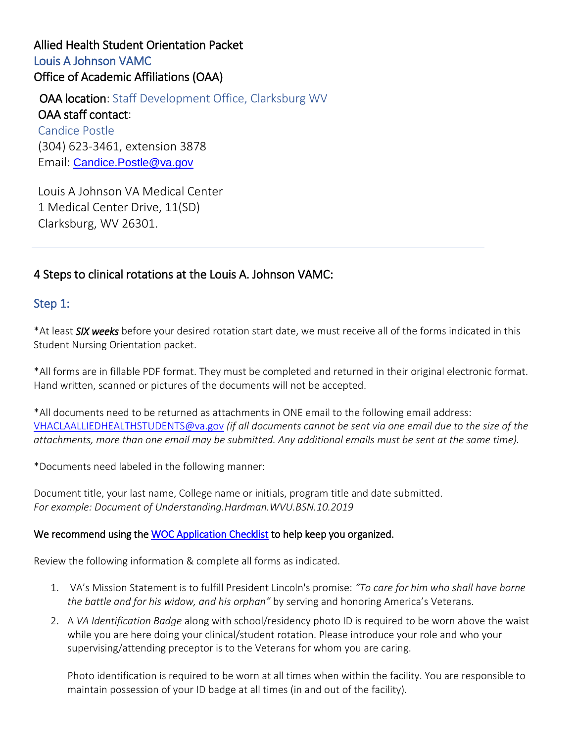# Allied Health Student Orientation Packet Louis A Johnson VAMC Office of Academic Affiliations (OAA)

**OAA location:** Staff Development Office, Clarksburg WV OAA staff contact: Candice Postle (304) 623-3461, extension 3878 Email: [Candice.Postle@va.gov](mailto:Candice.Postle@va.gov)

Louis A Johnson VA Medical Center 1 Medical Center Drive, 11(SD) Clarksburg, WV 26301.

# 4 Steps to clinical rotations at the Louis A. Johnson VAMC:

## Step 1:

\*At least *SIX weeks* before your desired rotation start date, we must receive all of the forms indicated in this Student Nursing Orientation packet.

\*All forms are in fillable PDF format. They must be completed and returned in their original electronic format. Hand written, scanned or pictures of the documents will not be accepted.

\*All documents need to be returned as attachments in ONE email to the following email address: [VHACLAALLIEDHEALTHSTUDENTS@va.gov](mailto:VHACLAALLIEDHEALTHSTUDENTS@va.gov) *(if all documents cannot be sent via one email due to the size of the attachments, more than one email may be submitted. Any additional emails must be sent at the same time).*

\*Documents need labeled in the following manner:

Document title, your last name, College name or initials, program title and date submitted. *For example: Document of Understanding.Hardman.WVU.BSN.10.2019*

#### We recommend using the [WOC Application Checklist](https://www.clarksburg.va.gov/docs/WOC_Application_Checklist_Allied.pdf) to help keep you organized.

Review the following information & complete all forms as indicated.

- 1. VA's Mission Statement is to fulfill President Lincoln's promise: *"To care for him who shall have borne the battle and for his widow, and his orphan"* by serving and honoring America's Veterans.
- 2. A *VA Identification Badge* along with school/residency photo ID is required to be worn above the waist while you are here doing your clinical/student rotation. Please introduce your role and who your supervising/attending preceptor is to the Veterans for whom you are caring.

Photo identification is required to be worn at all times when within the facility. You are responsible to maintain possession of your ID badge at all times (in and out of the facility).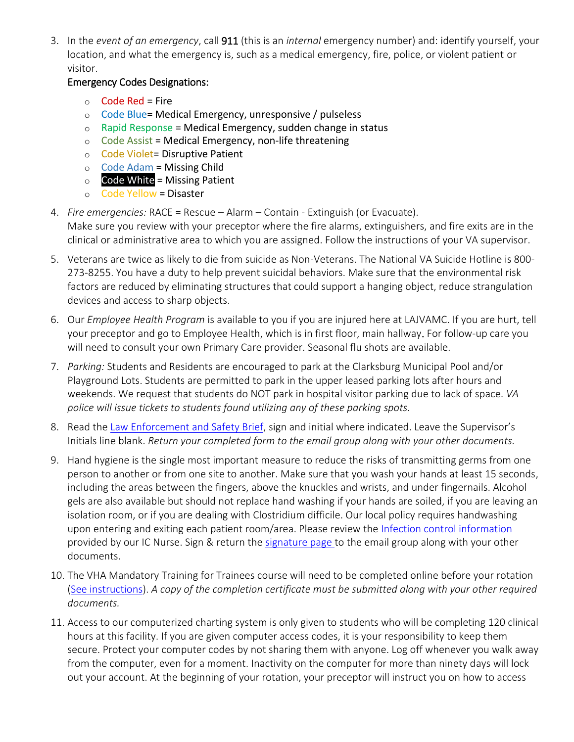3. In the *event of an emergency*, call 911 (this is an *internal* emergency number) and: identify yourself, your location, and what the emergency is, such as a medical emergency, fire, police, or violent patient or visitor.

#### Emergency Codes Designations:

- $\circ$  Code Red = Fire
- o Code Blue= Medical Emergency, unresponsive / pulseless
- $\circ$  Rapid Response = Medical Emergency, sudden change in status
- $\circ$  Code Assist = Medical Emergency, non-life threatening
- o Code Violet= Disruptive Patient
- $\circ$  Code Adam = Missing Child
- $\circ$  Code White = Missing Patient
- o Code Yellow = Disaster
- 4. *Fire emergencies:* RACE = Rescue Alarm Contain Extinguish (or Evacuate). Make sure you review with your preceptor where the fire alarms, extinguishers, and fire exits are in the clinical or administrative area to which you are assigned. Follow the instructions of your VA supervisor.
- 5. Veterans are twice as likely to die from suicide as Non-Veterans. The National VA Suicide Hotline is 800- 273-8255. You have a duty to help prevent suicidal behaviors. Make sure that the environmental risk factors are reduced by eliminating structures that could support a hanging object, reduce strangulation devices and access to sharp objects.
- 6. Our *Employee Health Program* is available to you if you are injured here at LAJVAMC. If you are hurt, tell your preceptor and go to Employee Health, which is in first floor, main hallway. For follow-up care you will need to consult your own Primary Care provider. Seasonal flu shots are available.
- 7. *Parking:* Students and Residents are encouraged to park at the Clarksburg Municipal Pool and/or Playground Lots. Students are permitted to park in the upper leased parking lots after hours and weekends. We request that students do NOT park in hospital visitor parking due to lack of space. *VA police will issue tickets to students found utilizing any of these parking spots.*
- 8. Read th[e Law Enforcement and Safety Brief](https://www.clarksburg.va.gov/docs/law.pdf), sign and initial where indicated. Leave the Supervisor's Initials line blank. *Return your completed form to the email group along with your other documents.*
- 9. Hand hygiene is the single most important measure to reduce the risks of transmitting germs from one person to another or from one site to another. Make sure that you wash your hands at least 15 seconds, including the areas between the fingers, above the knuckles and wrists, and under fingernails. Alcohol gels are also available but should not replace hand washing if your hands are soiled, if you are leaving an isolation room, or if you are dealing with Clostridium difficile. Our local policy requires handwashing upon entering and exiting each patient room/area. Please review the [Infection control information](https://www.clarksburg.va.gov/docs/Infection_Control_Document.pdf) provided by our IC Nurse. Sign & return the [signature page t](https://www.clarksburg.va.gov/docs/Infection_Control_Signature_page.pdf)o the email group along with your other documents.
- 10. The VHA Mandatory Training for Trainees course will need to be completed online before your rotation [\(See instructions\)](https://www.clarksburg.va.gov/docs/tms_postle1.pdf). *A copy of the completion certificate must be submitted along with your other required documents.*
- 11. Access to our computerized charting system is only given to students who will be completing 120 clinical hours at this facility. If you are given computer access codes, it is your responsibility to keep them secure. Protect your computer codes by not sharing them with anyone. Log off whenever you walk away from the computer, even for a moment. Inactivity on the computer for more than ninety days will lock out your account. At the beginning of your rotation, your preceptor will instruct you on how to access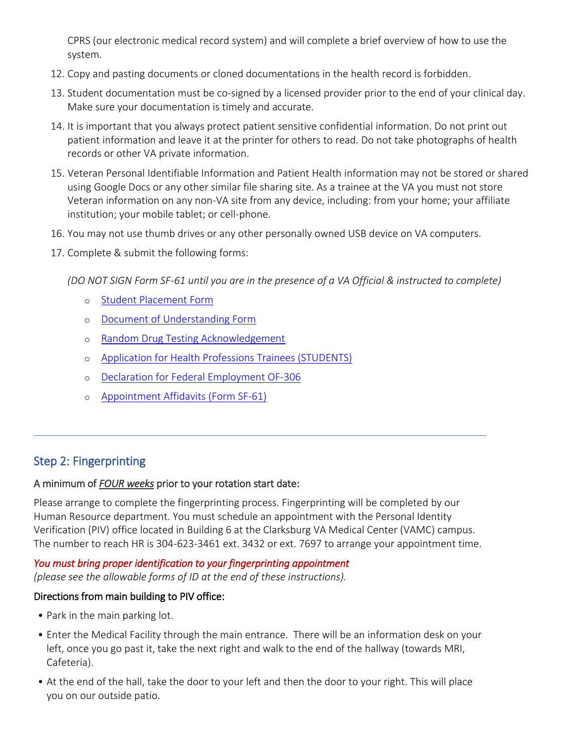CPRS (our electronic medical record system) and will complete a brief overview of how to use the system.

- 12. Copy and pasting documents or cloned documentations in the health record is forbidden.
- 13. Student documentation must be co-signed by a licensed provider prior to the end of your clinical day. Make sure your documentation is timely and accurate.
- 14. It is important that you always protect patient sensitive confidential information. Do not print out patient information and leave it at the printer for others to read. Do not take photographs of health records or other VA private information.
- 15. Veteran Personal Identifiable Information and Patient Health information may not be stored or shared using Google Docs or any other similar file sharing site. As a trainee at the VA you must not store Veteran information on any non-VA site from any device, including: from your home; your affiliate institution; your mobile tablet; or cell-phone.
- 16. You may not use thumb drives or any other personally owned USB device on VA computers.
- 17. Complete & submit the following forms:

*(DO NOT SIGN Form SF-61 until you are in the presence of a VA Official & instructed to complete)*

- o [Student Placement Form](https://www.clarksburg.va.gov/docs/Student_Placement_Form.pdf)
- o [Document of Understanding Form](https://www.clarksburg.va.gov/docs/Document_of_Understanding.pdf)
- o [Random Drug Testing Acknowledgement](https://www.clarksburg.va.gov/docs/Random_Drug_Testing.pdf)
- o [Application for Health Professions Trainees \(STUDENTS\)](https://www.va.gov/vaforms/medical/pdf/vha-10-2850d-fill.pdf)
- o [Declaration for Federal Employment OF-306](https://www.opm.gov/forms/pdf_fill/of0306.pdf)
- o [Appointment Affidavits \(Form SF-61\)](https://www.opm.gov/forms/pdf_fill/sf61.pdf)

## Step 2: Fingerprinting

#### A minimum of *FOUR weeks* prior to your rotation start date:

Please arrange to complete the fingerprinting process. Fingerprinting will be completed by our Human Resource department. You must schedule an appointment with the Personal Identity Verification (PIV) office located in Building 6 at the Clarksburg VA Medical Center (VAMC) campus. The number to reach HR is 304-623-3461 ext. 3432 or ext. 7697 to arrange your appointment time.

*You must bring proper identification to your fingerprinting appointment (please see the allowable forms of ID at the end of these instructions).*

#### Directions from main building to PIV office:

- Park in the main parking lot.
- Enter the Medical Facility through the main entrance. There will be an information desk on your left, once you go past it, take the next right and walk to the end of the hallway (towards MRI, Cafeteria).
- At the end of the hall, take the door to your left and then the door to your right. This will place you on our outside patio.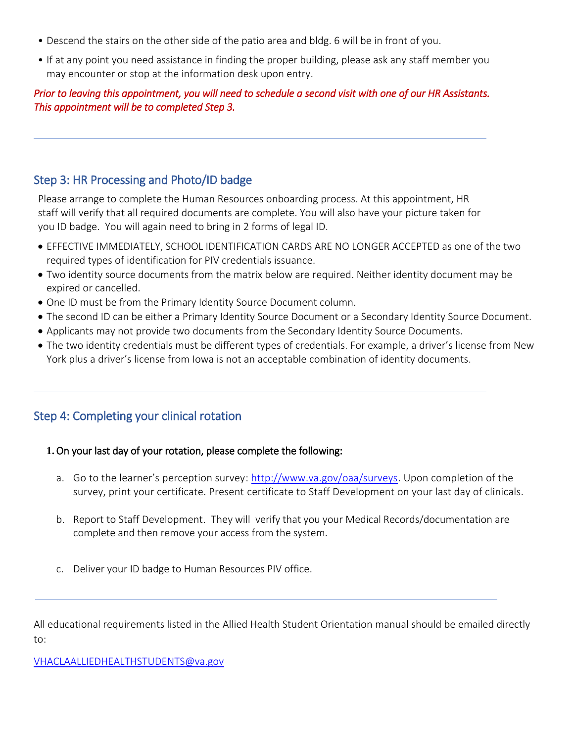- Descend the stairs on the other side of the patio area and bldg. 6 will be in front of you.
- If at any point you need assistance in finding the proper building, please ask any staff member you may encounter or stop at the information desk upon entry.

#### *Prior to leaving this appointment, you will need to schedule a second visit with one of our HR Assistants. This appointment will be to completed Step 3.*

## Step 3: HR Processing and Photo/ID badge

Please arrange to complete the Human Resources onboarding process. At this appointment, HR staff will verify that all required documents are complete. You will also have your picture taken for you ID badge. You will again need to bring in 2 forms of legal ID.

- EFFECTIVE IMMEDIATELY, SCHOOL IDENTIFICATION CARDS ARE NO LONGER ACCEPTED as one of the two required types of identification for PIV credentials issuance.
- Two identity source documents from the matrix below are required. Neither identity document may be expired or cancelled.
- One ID must be from the Primary Identity Source Document column.
- The second ID can be either a Primary Identity Source Document or a Secondary Identity Source Document.
- Applicants may not provide two documents from the Secondary Identity Source Documents.
- The two identity credentials must be different types of credentials. For example, a driver's license from New York plus a driver's license from Iowa is not an acceptable combination of identity documents.

## Step 4: Completing your clinical rotation

#### **1.**On your last day of your rotation, please complete the following:

- a. Go to the learner's perception survey: [http://www.va.gov/oaa/surveys.](http://www.va.gov/oaa/surveys) Upon completion of the survey, print your certificate. Present certificate to Staff Development on your last day of clinicals.
- b. Report to Staff Development. They will verify that you your Medical Records/documentation are complete and then remove your access from the system.
- c. Deliver your ID badge to Human Resources PIV office.

All educational requirements listed in the Allied Health Student Orientation manual should be emailed directly to:

[VHACLAALLIEDHEALTHSTUDENTS@va.gov](mailto:VHACLAALLIEDHEALTHSTUDENTS@va.gov)